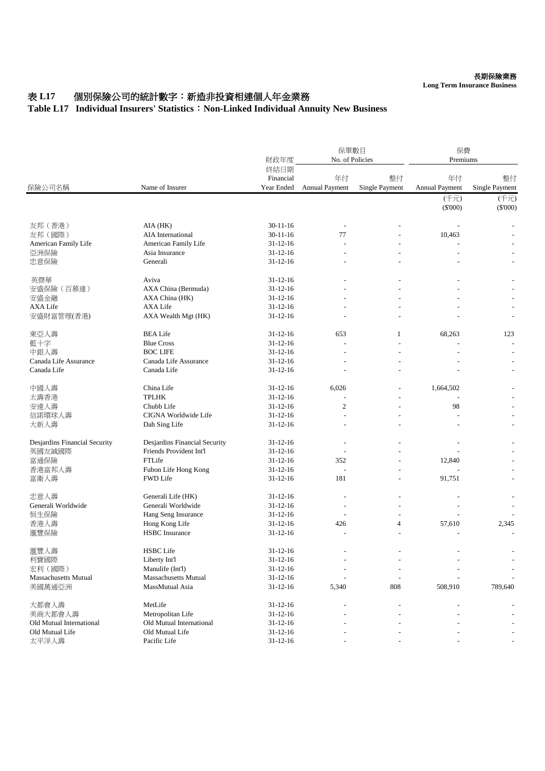### 長期保險業務

**Long Term Insurance Business**

## 表 L17 個別保險公司的統計數字: 新造非投資相連個人年金業務

#### **Table L17 Individual Insurers' Statistics**:**Non-Linked Individual Annuity New Business**

| 保險公司名稱                        | Name of Insurer               | 財政年度                            | 保單數目<br>No. of Policies     |                             | 保費<br>Premiums              |                             |
|-------------------------------|-------------------------------|---------------------------------|-----------------------------|-----------------------------|-----------------------------|-----------------------------|
|                               |                               | 終結日期<br>Financial<br>Year Ended | 年付<br><b>Annual Payment</b> | 整付<br><b>Single Payment</b> | 年付<br><b>Annual Payment</b> | 整付<br><b>Single Payment</b> |
|                               |                               |                                 |                             |                             | (千元)                        | (千元)                        |
|                               |                               |                                 |                             |                             | $(\$'000)$                  | $(\$'000)$                  |
| 友邦 (香港)                       | AIA (HK)                      | $30 - 11 - 16$                  |                             |                             |                             |                             |
| 友邦 (國際)                       | AIA International             | $30 - 11 - 16$                  | 77                          |                             | 10,463                      |                             |
| American Family Life          | American Family Life          | $31 - 12 - 16$                  |                             |                             |                             |                             |
| 亞洲保險                          | Asia Insurance                | $31 - 12 - 16$                  |                             |                             |                             |                             |
| 忠意保險                          | Generali                      | $31 - 12 - 16$                  |                             |                             |                             |                             |
| 英傑華                           | Aviva                         | $31 - 12 - 16$                  |                             |                             |                             |                             |
| 安盛保險 (百慕達)                    | AXA China (Bermuda)           | $31 - 12 - 16$                  |                             |                             |                             |                             |
| 安盛金融                          | AXA China (HK)                | $31 - 12 - 16$                  |                             |                             |                             |                             |
| <b>AXA Life</b>               | <b>AXA Life</b>               | $31 - 12 - 16$                  |                             |                             |                             |                             |
| 安盛財富管理(香港)                    | AXA Wealth Mgt (HK)           | $31 - 12 - 16$                  |                             |                             |                             | $\overline{\phantom{a}}$    |
| 東亞人壽                          | <b>BEA Life</b>               | $31 - 12 - 16$                  | 653                         | 1                           | 68,263                      | 123                         |
| 藍十字                           | <b>Blue Cross</b>             | $31 - 12 - 16$                  |                             |                             |                             |                             |
| 中銀人壽                          | <b>BOC LIFE</b>               | $31 - 12 - 16$                  |                             |                             |                             |                             |
| Canada Life Assurance         | Canada Life Assurance         | $31 - 12 - 16$                  |                             |                             |                             |                             |
| Canada Life                   | Canada Life                   | $31 - 12 - 16$                  |                             |                             |                             |                             |
| 中國人壽                          | China Life                    | $31 - 12 - 16$                  | 6,026                       |                             | 1,664,502                   |                             |
| 太壽香港                          | <b>TPLHK</b>                  | $31 - 12 - 16$                  |                             | L,                          |                             |                             |
| 安達人壽                          | Chubb Life                    | $31 - 12 - 16$                  | $\mathfrak{2}$              |                             | 98                          |                             |
| 信諾環球人壽                        | CIGNA Worldwide Life          | $31 - 12 - 16$                  |                             | ۰                           |                             |                             |
| 大新人壽                          | Dah Sing Life                 | $31 - 12 - 16$                  |                             |                             |                             |                             |
| Desjardins Financial Security | Desjardins Financial Security | $31 - 12 - 16$                  |                             |                             |                             |                             |
| 英國友誠國際                        | Friends Provident Int'l       | $31 - 12 - 16$                  |                             |                             |                             |                             |
| 富通保險                          | FTLife                        | $31 - 12 - 16$                  | 352                         |                             | 12,840                      |                             |
| 香港富邦人壽                        | Fubon Life Hong Kong          | $31 - 12 - 16$                  |                             |                             |                             |                             |
| 富衛人壽                          | <b>FWD Life</b>               | $31 - 12 - 16$                  | 181                         |                             | 91,751                      |                             |
| 忠意人壽                          | Generali Life (HK)            | $31 - 12 - 16$                  |                             |                             |                             |                             |
| Generali Worldwide            | Generali Worldwide            | $31 - 12 - 16$                  |                             |                             |                             |                             |
| 恒生保險                          | Hang Seng Insurance           | $31 - 12 - 16$                  |                             |                             |                             |                             |
| 香港人壽                          | Hong Kong Life                | $31 - 12 - 16$                  | 426                         | 4                           | 57,610                      | 2,345                       |
| 滙豐保險                          | <b>HSBC</b> Insurance         | $31 - 12 - 16$                  |                             |                             |                             |                             |
| 滙豐人壽                          | <b>HSBC</b> Life              | $31 - 12 - 16$                  |                             |                             |                             |                             |
| 利寶國際                          | Liberty Int'l                 | $31 - 12 - 16$                  |                             |                             |                             |                             |
| 宏利 (國際)                       | Manulife (Int'l)              | $31 - 12 - 16$                  |                             |                             |                             |                             |
| Massachusetts Mutual          | <b>Massachusetts Mutual</b>   | $31-12-16$                      |                             |                             |                             |                             |
| 美國萬通亞洲                        | MassMutual Asia               | $31 - 12 - 16$                  | 5,340                       | 808                         | 508,910                     | 789,640                     |
| 大都會人壽                         | MetLife                       | $31 - 12 - 16$                  |                             |                             |                             |                             |
| 美商大都會人壽                       | Metropolitan Life             | $31-12-16$                      |                             |                             |                             |                             |
| Old Mutual International      | Old Mutual International      | $31-12-16$                      |                             |                             |                             |                             |
| Old Mutual Life               | Old Mutual Life               | $31-12-16$                      |                             |                             |                             |                             |
| 太平洋人壽                         | Pacific Life                  | $31 - 12 - 16$                  |                             |                             |                             |                             |